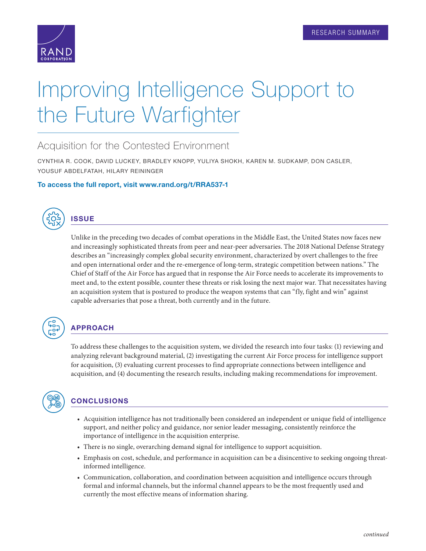

# Improving Intelligence Support to the Future Warfighter

## Acquisition for the Contested Environment

CYNTHIA R. COOK, DAVID LUCKEY, BRADLEY KNOPP, YULIYA SHOKH, KAREN M. SUDKAMP, DON CASLER, YOUSUF ABDELFATAH, HILARY REININGER

#### To access the full report, visit [www.rand.org/t/RRA537-1](http://www.rand.org/t/RRA537-1)



## **ISSUE**

Unlike in the preceding two decades of combat operations in the Middle East, the United States now faces new and increasingly sophisticated threats from peer and near-peer adversaries. The 2018 National Defense Strategy describes an "increasingly complex global security environment, characterized by overt challenges to the free and open international order and the re-emergence of long-term, strategic competition between nations." The Chief of Staff of the Air Force has argued that in response the Air Force needs to accelerate its improvements to meet and, to the extent possible, counter these threats or risk losing the next major war. That necessitates having an acquisition system that is postured to produce the weapon systems that can "fly, fight and win" against capable adversaries that pose a threat, both currently and in the future.



## APPROACH

To address these challenges to the acquisition system, we divided the research into four tasks: (1) reviewing and analyzing relevant background material, (2) investigating the current Air Force process for intelligence support for acquisition, (3) evaluating current processes to find appropriate connections between intelligence and acquisition, and (4) documenting the research results, including making recommendations for improvement.



### **CONCLUSIONS**

- Acquisition intelligence has not traditionally been considered an independent or unique field of intelligence support, and neither policy and guidance, nor senior leader messaging, consistently reinforce the importance of intelligence in the acquisition enterprise.
- There is no single, overarching demand signal for intelligence to support acquisition.
- Emphasis on cost, schedule, and performance in acquisition can be a disincentive to seeking ongoing threatinformed intelligence.
- Communication, collaboration, and coordination between acquisition and intelligence occurs through formal and informal channels, but the informal channel appears to be the most frequently used and currently the most effective means of information sharing.